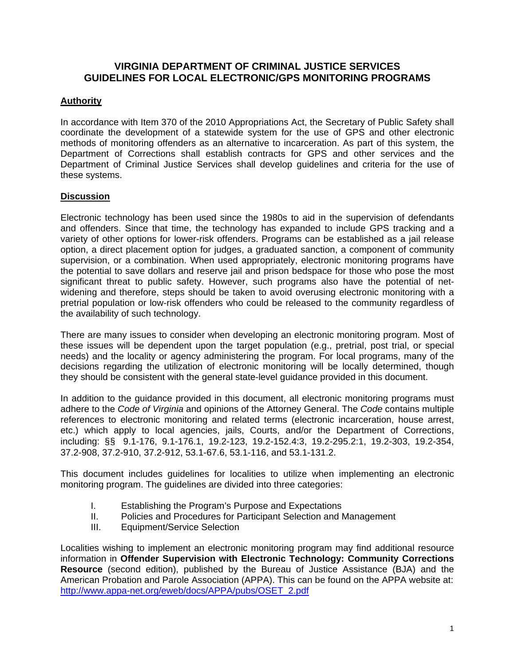# **VIRGINIA DEPARTMENT OF CRIMINAL JUSTICE SERVICES GUIDELINES FOR LOCAL ELECTRONIC/GPS MONITORING PROGRAMS**

# **Authority**

In accordance with Item 370 of the 2010 Appropriations Act, the Secretary of Public Safety shall coordinate the development of a statewide system for the use of GPS and other electronic methods of monitoring offenders as an alternative to incarceration. As part of this system, the Department of Corrections shall establish contracts for GPS and other services and the Department of Criminal Justice Services shall develop guidelines and criteria for the use of these systems.

### **Discussion**

Electronic technology has been used since the 1980s to aid in the supervision of defendants and offenders. Since that time, the technology has expanded to include GPS tracking and a variety of other options for lower-risk offenders. Programs can be established as a jail release option, a direct placement option for judges, a graduated sanction, a component of community supervision, or a combination. When used appropriately, electronic monitoring programs have the potential to save dollars and reserve jail and prison bedspace for those who pose the most significant threat to public safety. However, such programs also have the potential of netwidening and therefore, steps should be taken to avoid overusing electronic monitoring with a pretrial population or low-risk offenders who could be released to the community regardless of the availability of such technology.

There are many issues to consider when developing an electronic monitoring program. Most of these issues will be dependent upon the target population (e.g., pretrial, post trial, or special needs) and the locality or agency administering the program. For local programs, many of the decisions regarding the utilization of electronic monitoring will be locally determined, though they should be consistent with the general state-level guidance provided in this document.

In addition to the guidance provided in this document, all electronic monitoring programs must adhere to the *Code of Virginia* and opinions of the Attorney General. The *Code* contains multiple references to electronic monitoring and related terms (electronic incarceration, house arrest, etc.) which apply to local agencies, jails, Courts, and/or the Department of Corrections, including: §§ 9.1-176, 9.1-176.1, 19.2-123, 19.2-152.4:3, 19.2-295.2:1, 19.2-303, 19.2-354, 37.2-908, 37.2-910, 37.2-912, 53.1-67.6, 53.1-116, and 53.1-131.2.

This document includes guidelines for localities to utilize when implementing an electronic monitoring program. The guidelines are divided into three categories:

- I. Establishing the Program's Purpose and Expectations
- II. Policies and Procedures for Participant Selection and Management
- III. Equipment/Service Selection

Localities wishing to implement an electronic monitoring program may find additional resource information in **Offender Supervision with Electronic Technology: Community Corrections Resource** (second edition), published by the Bureau of Justice Assistance (BJA) and the American Probation and Parole Association (APPA). This can be found on the APPA website at: [http://www.appa-net.org/eweb/docs/APPA/pubs/OSET\\_2.pdf](http://www.appa-net.org/eweb/docs/APPA/pubs/OSET_2.pdf)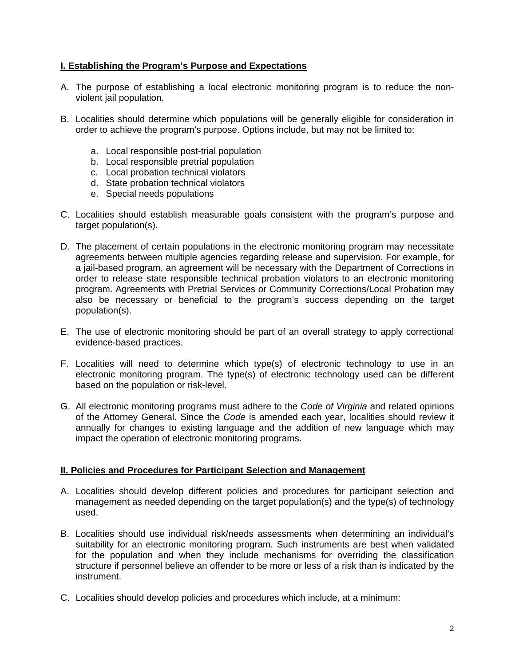# **I. Establishing the Program's Purpose and Expectations**

- A. The purpose of establishing a local electronic monitoring program is to reduce the nonviolent jail population.
- B. Localities should determine which populations will be generally eligible for consideration in order to achieve the program's purpose. Options include, but may not be limited to:
	- a. Local responsible post-trial population
	- b. Local responsible pretrial population
	- c. Local probation technical violators
	- d. State probation technical violators
	- e. Special needs populations
- C. Localities should establish measurable goals consistent with the program's purpose and target population(s).
- D. The placement of certain populations in the electronic monitoring program may necessitate agreements between multiple agencies regarding release and supervision. For example, for a jail-based program, an agreement will be necessary with the Department of Corrections in order to release state responsible technical probation violators to an electronic monitoring program. Agreements with Pretrial Services or Community Corrections/Local Probation may also be necessary or beneficial to the program's success depending on the target population(s).
- E. The use of electronic monitoring should be part of an overall strategy to apply correctional evidence-based practices.
- F. Localities will need to determine which type(s) of electronic technology to use in an electronic monitoring program. The type(s) of electronic technology used can be different based on the population or risk-level.
- G. All electronic monitoring programs must adhere to the *Code of Virginia* and related opinions of the Attorney General. Since the *Code* is amended each year, localities should review it annually for changes to existing language and the addition of new language which may impact the operation of electronic monitoring programs.

#### **II. Policies and Procedures for Participant Selection and Management**

- A. Localities should develop different policies and procedures for participant selection and management as needed depending on the target population(s) and the type(s) of technology used.
- B. Localities should use individual risk/needs assessments when determining an individual's suitability for an electronic monitoring program. Such instruments are best when validated for the population and when they include mechanisms for overriding the classification structure if personnel believe an offender to be more or less of a risk than is indicated by the instrument.
- C. Localities should develop policies and procedures which include, at a minimum: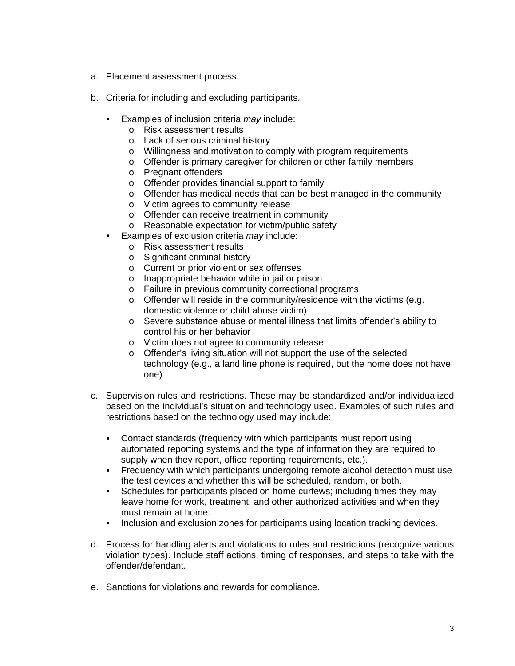- a. Placement assessment process.
- b. Criteria for including and excluding participants.
	- Examples of inclusion criteria *may* include:
		- o Risk assessment results
		- o Lack of serious criminal history
		- o Willingness and motivation to comply with program requirements
		- o Offender is primary caregiver for children or other family members
		- o Pregnant offenders
		- o Offender provides financial support to family
		- o Offender has medical needs that can be best managed in the community
		- o Victim agrees to community release
		- o Offender can receive treatment in community
		- o Reasonable expectation for victim/public safety
	- Examples of exclusion criteria *may* include:
		- o Risk assessment results
		- o Significant criminal history
		- o Current or prior violent or sex offenses
		- o Inappropriate behavior while in jail or prison
		- o Failure in previous community correctional programs
		- o Offender will reside in the community/residence with the victims (e.g. domestic violence or child abuse victim)
		- o Severe substance abuse or mental illness that limits offender's ability to control his or her behavior
		- o Victim does not agree to community release
		- o Offender's living situation will not support the use of the selected technology (e.g., a land line phone is required, but the home does not have one)
- c. Supervision rules and restrictions. These may be standardized and/or individualized based on the individual's situation and technology used. Examples of such rules and restrictions based on the technology used may include:
	- Contact standards (frequency with which participants must report using automated reporting systems and the type of information they are required to supply when they report, office reporting requirements, etc.).
	- Frequency with which participants undergoing remote alcohol detection must use the test devices and whether this will be scheduled, random, or both.
	- Schedules for participants placed on home curfews; including times they may leave home for work, treatment, and other authorized activities and when they must remain at home.
	- Inclusion and exclusion zones for participants using location tracking devices.
- d. Process for handling alerts and violations to rules and restrictions (recognize various violation types). Include staff actions, timing of responses, and steps to take with the offender/defendant.
- e. Sanctions for violations and rewards for compliance.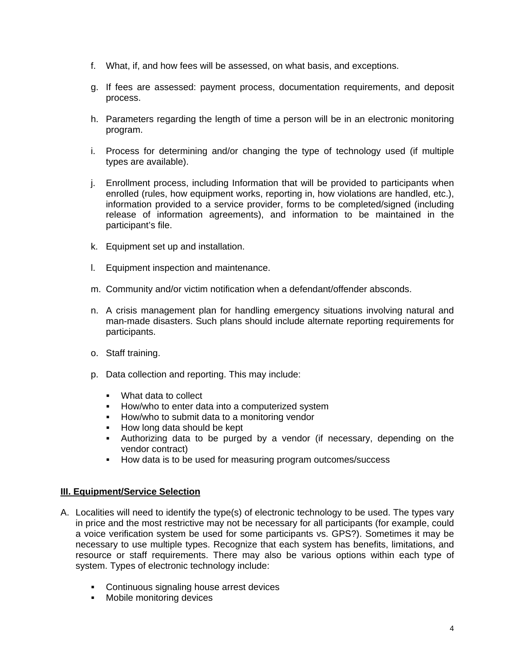- f. What, if, and how fees will be assessed, on what basis, and exceptions.
- g. If fees are assessed: payment process, documentation requirements, and deposit process.
- h. Parameters regarding the length of time a person will be in an electronic monitoring program.
- i. Process for determining and/or changing the type of technology used (if multiple types are available).
- j. Enrollment process, including Information that will be provided to participants when enrolled (rules, how equipment works, reporting in, how violations are handled, etc.), information provided to a service provider, forms to be completed/signed (including release of information agreements), and information to be maintained in the participant's file.
- k. Equipment set up and installation.
- l. Equipment inspection and maintenance.
- m. Community and/or victim notification when a defendant/offender absconds.
- n. A crisis management plan for handling emergency situations involving natural and man-made disasters. Such plans should include alternate reporting requirements for participants.
- o. Staff training.
- p. Data collection and reporting. This may include:
	- . What data to collect
	- **How/who to enter data into a computerized system**
	- **How/who to submit data to a monitoring vendor**
	- How long data should be kept
	- Authorizing data to be purged by a vendor (if necessary, depending on the vendor contract)
	- How data is to be used for measuring program outcomes/success

### **III. Equipment/Service Selection**

- A. Localities will need to identify the type(s) of electronic technology to be used. The types vary in price and the most restrictive may not be necessary for all participants (for example, could a voice verification system be used for some participants vs. GPS?). Sometimes it may be necessary to use multiple types. Recognize that each system has benefits, limitations, and resource or staff requirements. There may also be various options within each type of system. Types of electronic technology include:
	- **Continuous signaling house arrest devices**
	- **Mobile monitoring devices**